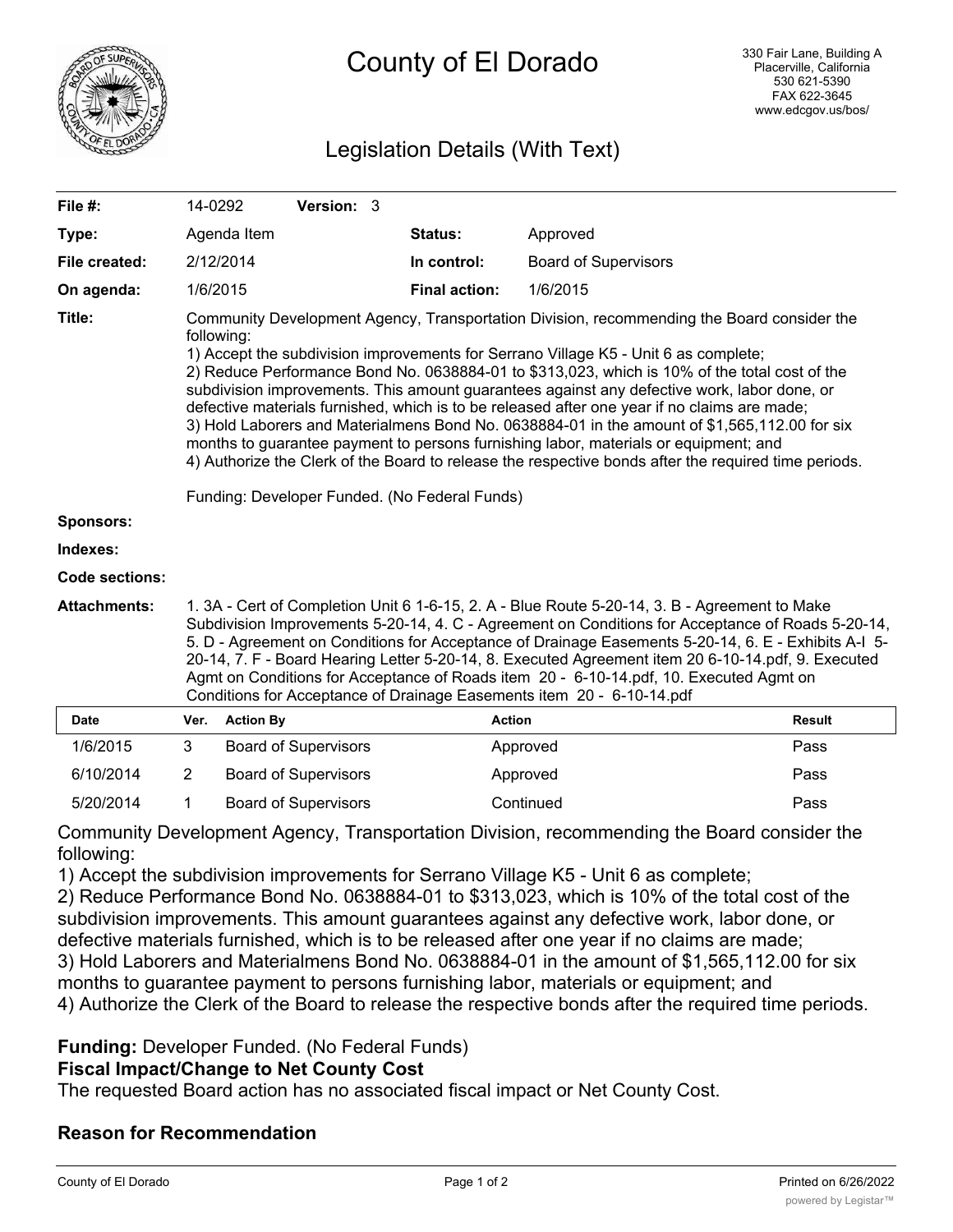

# Legislation Details (With Text)

| File #:               | 14-0292                                                                                                                                                                                                                                                                                                                                                                                                                                                                                                                                                                                                                                                                                                                                                                                                                                           |                  | Version: 3                  |  |                      |                             |               |
|-----------------------|---------------------------------------------------------------------------------------------------------------------------------------------------------------------------------------------------------------------------------------------------------------------------------------------------------------------------------------------------------------------------------------------------------------------------------------------------------------------------------------------------------------------------------------------------------------------------------------------------------------------------------------------------------------------------------------------------------------------------------------------------------------------------------------------------------------------------------------------------|------------------|-----------------------------|--|----------------------|-----------------------------|---------------|
| Type:                 |                                                                                                                                                                                                                                                                                                                                                                                                                                                                                                                                                                                                                                                                                                                                                                                                                                                   | Agenda Item      |                             |  | Status:              | Approved                    |               |
| File created:         |                                                                                                                                                                                                                                                                                                                                                                                                                                                                                                                                                                                                                                                                                                                                                                                                                                                   | 2/12/2014        |                             |  | In control:          | <b>Board of Supervisors</b> |               |
| On agenda:            | 1/6/2015                                                                                                                                                                                                                                                                                                                                                                                                                                                                                                                                                                                                                                                                                                                                                                                                                                          |                  |                             |  | <b>Final action:</b> | 1/6/2015                    |               |
| Title:                | Community Development Agency, Transportation Division, recommending the Board consider the<br>following:<br>1) Accept the subdivision improvements for Serrano Village K5 - Unit 6 as complete;<br>2) Reduce Performance Bond No. 0638884-01 to \$313,023, which is 10% of the total cost of the<br>subdivision improvements. This amount guarantees against any defective work, labor done, or<br>defective materials furnished, which is to be released after one year if no claims are made;<br>3) Hold Laborers and Materialmens Bond No. 0638884-01 in the amount of \$1,565,112.00 for six<br>months to guarantee payment to persons furnishing labor, materials or equipment; and<br>4) Authorize the Clerk of the Board to release the respective bonds after the required time periods.<br>Funding: Developer Funded. (No Federal Funds) |                  |                             |  |                      |                             |               |
| <b>Sponsors:</b>      |                                                                                                                                                                                                                                                                                                                                                                                                                                                                                                                                                                                                                                                                                                                                                                                                                                                   |                  |                             |  |                      |                             |               |
| Indexes:              |                                                                                                                                                                                                                                                                                                                                                                                                                                                                                                                                                                                                                                                                                                                                                                                                                                                   |                  |                             |  |                      |                             |               |
| <b>Code sections:</b> |                                                                                                                                                                                                                                                                                                                                                                                                                                                                                                                                                                                                                                                                                                                                                                                                                                                   |                  |                             |  |                      |                             |               |
| <b>Attachments:</b>   | 1. 3A - Cert of Completion Unit 6 1-6-15, 2. A - Blue Route 5-20-14, 3. B - Agreement to Make<br>Subdivision Improvements 5-20-14, 4. C - Agreement on Conditions for Acceptance of Roads 5-20-14,<br>5. D - Agreement on Conditions for Acceptance of Drainage Easements 5-20-14, 6. E - Exhibits A-I 5-<br>20-14, 7. F - Board Hearing Letter 5-20-14, 8. Executed Agreement item 20 6-10-14.pdf, 9. Executed<br>Agmt on Conditions for Acceptance of Roads item 20 - 6-10-14.pdf, 10. Executed Agmt on<br>Conditions for Acceptance of Drainage Easements item 20 - 6-10-14.pdf                                                                                                                                                                                                                                                                |                  |                             |  |                      |                             |               |
| <b>Date</b>           | Ver.                                                                                                                                                                                                                                                                                                                                                                                                                                                                                                                                                                                                                                                                                                                                                                                                                                              | <b>Action By</b> |                             |  |                      | <b>Action</b>               | <b>Result</b> |
| 1/6/2015              | 3                                                                                                                                                                                                                                                                                                                                                                                                                                                                                                                                                                                                                                                                                                                                                                                                                                                 |                  | <b>Board of Supervisors</b> |  |                      | Approved                    | Pass          |
| 6/10/2014             | $\overline{2}$                                                                                                                                                                                                                                                                                                                                                                                                                                                                                                                                                                                                                                                                                                                                                                                                                                    |                  | <b>Board of Supervisors</b> |  |                      | Approved                    | Pass          |
| 5/20/2014             | 1                                                                                                                                                                                                                                                                                                                                                                                                                                                                                                                                                                                                                                                                                                                                                                                                                                                 |                  | <b>Board of Supervisors</b> |  |                      | Continued                   | Pass          |

Community Development Agency, Transportation Division, recommending the Board consider the following:

1) Accept the subdivision improvements for Serrano Village K5 - Unit 6 as complete;

2) Reduce Performance Bond No. 0638884-01 to \$313,023, which is 10% of the total cost of the subdivision improvements. This amount guarantees against any defective work, labor done, or defective materials furnished, which is to be released after one year if no claims are made; 3) Hold Laborers and Materialmens Bond No. 0638884-01 in the amount of \$1,565,112.00 for six months to guarantee payment to persons furnishing labor, materials or equipment; and 4) Authorize the Clerk of the Board to release the respective bonds after the required time periods.

### **Funding:** Developer Funded. (No Federal Funds)

### **Fiscal Impact/Change to Net County Cost**

The requested Board action has no associated fiscal impact or Net County Cost.

### **Reason for Recommendation**